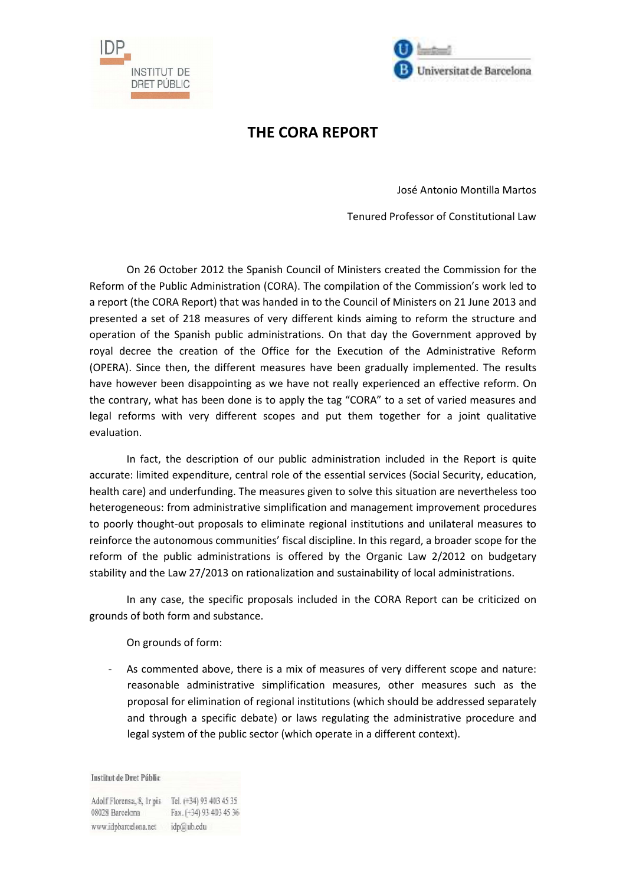



## **THE CORA REPORT**

José Antonio Montilla Martos

Tenured Professor of Constitutional Law

 On 26 October 2012 the Spanish Council of Ministers created the Commission for the Reform of the Public Administration (CORA). The compilation of the Commission's work led to a report (the CORA Report) that was handed in to the Council of Ministers on 21 June 2013 and presented a set of 218 measures of very different kinds aiming to reform the structure and operation of the Spanish public administrations. On that day the Government approved by royal decree the creation of the Office for the Execution of the Administrative Reform (OPERA). Since then, the different measures have been gradually implemented. The results have however been disappointing as we have not really experienced an effective reform. On the contrary, what has been done is to apply the tag "CORA" to a set of varied measures and legal reforms with very different scopes and put them together for a joint qualitative evaluation.

 In fact, the description of our public administration included in the Report is quite accurate: limited expenditure, central role of the essential services (Social Security, education, health care) and underfunding. The measures given to solve this situation are nevertheless too heterogeneous: from administrative simplification and management improvement procedures to poorly thought-out proposals to eliminate regional institutions and unilateral measures to reinforce the autonomous communities' fiscal discipline. In this regard, a broader scope for the reform of the public administrations is offered by the Organic Law 2/2012 on budgetary stability and the Law 27/2013 on rationalization and sustainability of local administrations.

 In any case, the specific proposals included in the CORA Report can be criticized on grounds of both form and substance.

On grounds of form:

- As commented above, there is a mix of measures of very different scope and nature: reasonable administrative simplification measures, other measures such as the proposal for elimination of regional institutions (which should be addressed separately and through a specific debate) or laws regulating the administrative procedure and legal system of the public sector (which operate in a different context).

**Institut de Dret Públic** 

Adolf Florensa, 8, Ir pis Tel. (+34) 93 403 45 35 Fax. (+34) 93 403 45 36 08028 Barcelona www.idpbarcelona.net idp@ub.edu